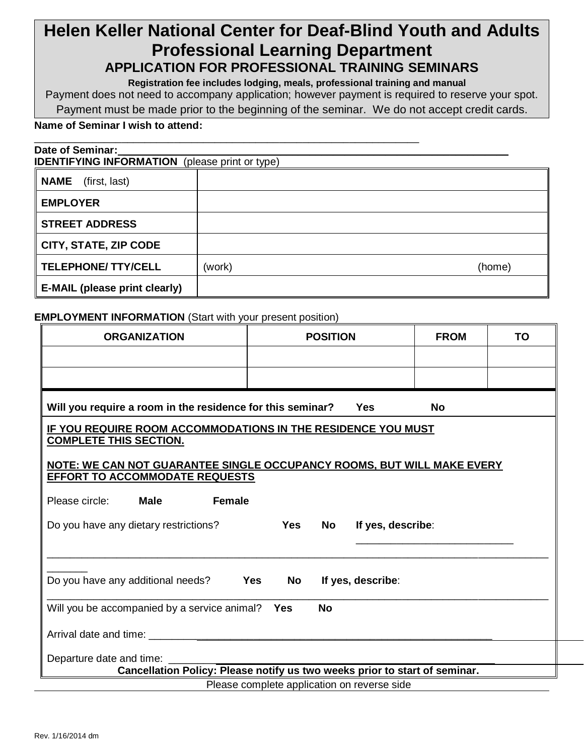# **Helen Keller National Center for Deaf-Blind Youth and Adults Professional Learning Department APPLICATION FOR PROFESSIONAL TRAINING SEMINARS**

 **Registration fee includes lodging, meals, professional training and manual** Payment does not need to accompany application; however payment is required to reserve your spot. Payment must be made prior to the beginning of the seminar. We do not accept credit cards.

\_\_\_\_\_\_\_\_\_\_\_\_\_\_\_\_\_\_\_\_\_\_\_\_\_\_\_\_\_\_\_\_\_\_\_\_\_\_\_\_\_\_\_\_\_\_\_\_\_\_\_\_\_\_\_\_\_\_\_\_\_\_\_\_\_\_

### **Name of Seminar I wish to attend:**

| Date of Seminar:                                      |        |        |  |  |  |  |
|-------------------------------------------------------|--------|--------|--|--|--|--|
| <b>IDENTIFYING INFORMATION</b> (please print or type) |        |        |  |  |  |  |
| <b>NAME</b><br>(first, last)                          |        |        |  |  |  |  |
| <b>EMPLOYER</b>                                       |        |        |  |  |  |  |
| <b>STREET ADDRESS</b>                                 |        |        |  |  |  |  |
| <b>CITY, STATE, ZIP CODE</b>                          |        |        |  |  |  |  |
| <b>TELEPHONE/ TTY/CELL</b>                            | (work) | (home) |  |  |  |  |
| <b>E-MAIL (please print clearly)</b>                  |        |        |  |  |  |  |

#### **EMPLOYMENT INFORMATION** (Start with your present position)

| <b>ORGANIZATION</b>                                                                                             | <b>POSITION</b> |           | <b>FROM</b>       | ΤO |  |  |  |
|-----------------------------------------------------------------------------------------------------------------|-----------------|-----------|-------------------|----|--|--|--|
|                                                                                                                 |                 |           |                   |    |  |  |  |
|                                                                                                                 |                 |           |                   |    |  |  |  |
| Will you require a room in the residence for this seminar?<br><b>Yes</b><br><b>No</b>                           |                 |           |                   |    |  |  |  |
| <u>IF YOU REQUIRE ROOM ACCOMMODATIONS IN THE RESIDENCE YOU MUST</u><br><b>COMPLETE THIS SECTION.</b>            |                 |           |                   |    |  |  |  |
| NOTE: WE CAN NOT GUARANTEE SINGLE OCCUPANCY ROOMS, BUT WILL MAKE EVERY<br><b>EFFORT TO ACCOMMODATE REQUESTS</b> |                 |           |                   |    |  |  |  |
| <b>Female</b><br>Please circle:<br>Male                                                                         |                 |           |                   |    |  |  |  |
| Do you have any dietary restrictions?                                                                           | <b>Yes</b>      | <b>No</b> | If yes, describe: |    |  |  |  |
| Do you have any additional needs? Yes<br>If yes, describe:<br>No                                                |                 |           |                   |    |  |  |  |
| Will you be accompanied by a service animal? Yes<br><b>No</b>                                                   |                 |           |                   |    |  |  |  |
|                                                                                                                 |                 |           |                   |    |  |  |  |
| Departure date and time:<br>Cancellation Policy: Please notify us two weeks prior to start of seminar.          |                 |           |                   |    |  |  |  |
| Please complete application on reverse side                                                                     |                 |           |                   |    |  |  |  |